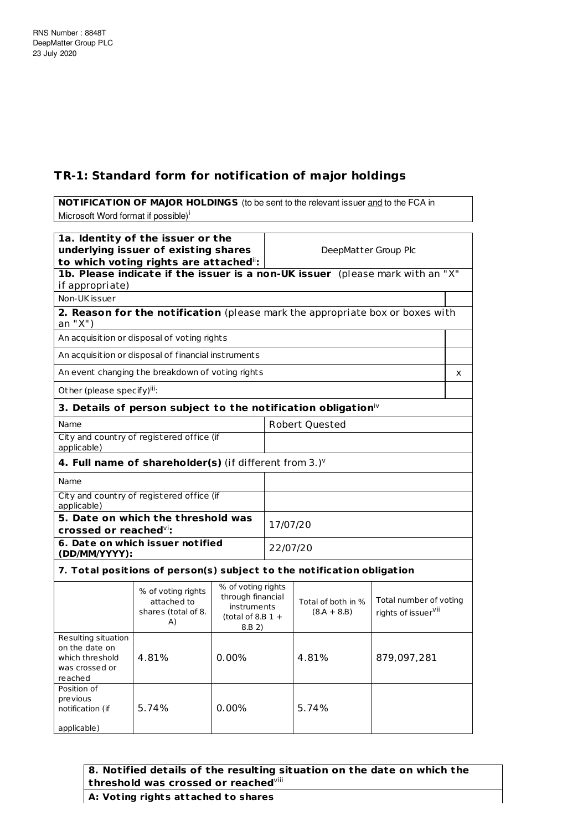## **TR-1: Standard form for notification of major holdings**

**NOTIFICATION OF MAJOR HOLDINGS** (to be sent to the relevant issuer and to the FCA in Microsoft Word format if possible)<sup>i</sup> **1a. Identity of the issuer or the underlying issuer of existing shares to which voting rights are attached** ii**:** DeepMatter Group Plc **1b. Please indicate if the issuer is a non-UK issuer** (please mark with an "X" if appropriate) Non-UK issuer **2. Reason for the notification** (please mark the appropriate box or boxes with an "X") An acquisition or disposal of voting rights An acquisition or disposal of financial inst ruments An event changing the breakdown of voting rights  $x = x + y$ Other (please specify)<sup>iii</sup>: **3. Details of person subject to the notification obligation** iv Name Robert Ouested City and count ry of registered office (if applicable) **4. Full name of shareholder(s)** (if different from 3.) v Name City and count ry of registered office (if applicable) **5. Date on which the threshold was crossed or reached** vi**:** 17/07/20 **6. Date on which issuer not ified (DD/MM/YYYY):** 22/07/20 **7. Total posit ions of person(s) subject to the not ificat ion obligat ion** % of voting rights % of voting rights attached to through financial Total of both in % Total number of voting

|                                                                                       | attached to<br>shares (total of 8.<br>A) | through financial<br>instruments<br>(total of 8.B $1 +$<br>8.B 2) | Total of both in %<br>$(8.A + 8.B)$ | Total number of voting<br>rights of issuer <sup>vii</sup> |
|---------------------------------------------------------------------------------------|------------------------------------------|-------------------------------------------------------------------|-------------------------------------|-----------------------------------------------------------|
| Resulting situation<br>on the date on<br>which threshold<br>was crossed or<br>reached | 4.81%                                    | 0.00%                                                             | 4.81%                               | 879,097,281                                               |
| Position of<br>previous<br>notification (if<br>applicable)                            | 5.74%                                    | 0.00%                                                             | 5.74%                               |                                                           |

## **8. Notified details of the resulting situation on the date on which the threshold was crossed or reached** viii

## **A: Vot ing rights at tached to shares**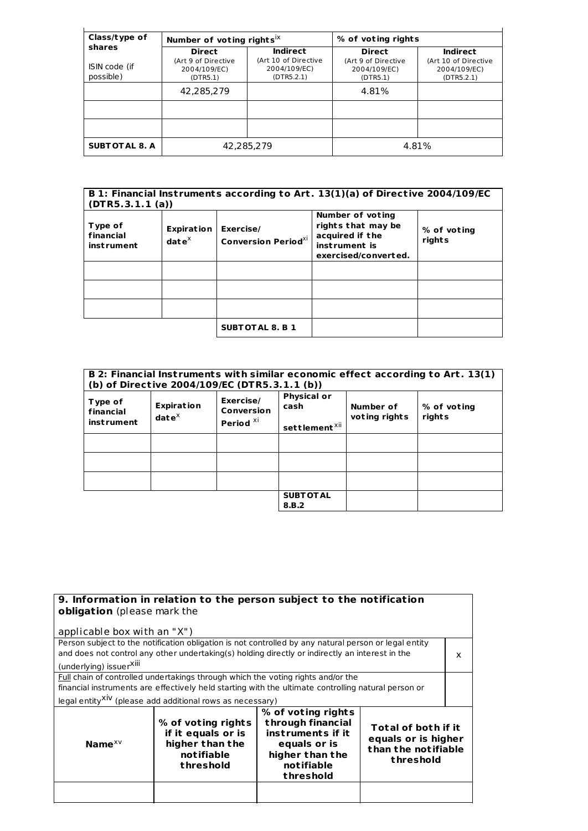| Class/type of                        | Number of voting rights <sup>ix</sup>                            |                                                                | % of voting rights                                               |                                                                       |
|--------------------------------------|------------------------------------------------------------------|----------------------------------------------------------------|------------------------------------------------------------------|-----------------------------------------------------------------------|
| shares<br>ISIN code (if<br>possible) | <b>Direct</b><br>(Art 9 of Directive<br>2004/109/EC)<br>(DTR5.1) | Indirect<br>(Art 10 of Directive<br>2004/109/EC)<br>(DTR5.2.1) | <b>Direct</b><br>(Art 9 of Directive<br>2004/109/EC)<br>(DTR5.1) | <b>Indirect</b><br>(Art 10 of Directive<br>2004/109/EC)<br>(DTR5.2.1) |
|                                      | 42,285,279                                                       |                                                                | 4.81%                                                            |                                                                       |
| <b>SUBT OT AL 8. A</b>               |                                                                  | 42,285,279                                                     |                                                                  | 4.81%                                                                 |

| B 1: Financial Instruments according to Art. 13(1)(a) of Directive 2004/109/EC<br>(DTR5.3.1.1(a)) |                                          |                                         |                                                                                                    |                       |
|---------------------------------------------------------------------------------------------------|------------------------------------------|-----------------------------------------|----------------------------------------------------------------------------------------------------|-----------------------|
| Type of<br>financial<br><i>instrument</i>                                                         | Expiration<br>$\mathbf{date}^\mathsf{X}$ | Exercise/<br><b>Conversion PeriodXI</b> | Number of voting<br>rights that may be<br>acquired if the<br>instrument is<br>exercised/converted. | % of voting<br>rights |
|                                                                                                   |                                          |                                         |                                                                                                    |                       |
|                                                                                                   |                                          |                                         |                                                                                                    |                       |
|                                                                                                   |                                          |                                         |                                                                                                    |                       |
|                                                                                                   |                                          | <b>SUBTOTAL 8. B 1</b>                  |                                                                                                    |                       |

| B 2: Financial Instruments with similar economic effect according to Art. 13(1)<br>(b) of Directive 2004/109/EC (DTR5.3.1.1 (b)) |                                    |                                                 |                                                         |                            |                       |
|----------------------------------------------------------------------------------------------------------------------------------|------------------------------------|-------------------------------------------------|---------------------------------------------------------|----------------------------|-----------------------|
| Type of<br>financial<br>inst rument                                                                                              | <b>Expiration</b><br>$date^{\chi}$ | Exercise/<br>Conversion<br>Period <sup>Xi</sup> | <b>Physical or</b><br>cash<br>settlement <sup>xii</sup> | Number of<br>voting rights | % of voting<br>rights |
|                                                                                                                                  |                                    |                                                 |                                                         |                            |                       |
|                                                                                                                                  |                                    |                                                 |                                                         |                            |                       |
|                                                                                                                                  |                                    |                                                 |                                                         |                            |                       |
|                                                                                                                                  |                                    |                                                 | <b>SUBT OT AL</b><br>8.B.2                              |                            |                       |

| 9. Information in relation to the person subject to the notification                                  |  |  |  |
|-------------------------------------------------------------------------------------------------------|--|--|--|
| obligation (please mark the                                                                           |  |  |  |
|                                                                                                       |  |  |  |
| applicable box with an "X")                                                                           |  |  |  |
| Person subject to the notification obligation is not controlled by any natural person or legal entity |  |  |  |
| and does not control any other undertaking(s) holding directly or indirectly an interest in the<br>x  |  |  |  |
| (underlying) issuerXili                                                                               |  |  |  |
| Full chain of controlled undertakings through which the voting rights and/or the                      |  |  |  |
| financial instruments are effectively held starting with the ultimate controlling natural person or   |  |  |  |
| legal entity <sup>XIV</sup> (please add additional rows as necessary)                                 |  |  |  |
| % of voting rights                                                                                    |  |  |  |
| through financial<br>% of voting rights                                                               |  |  |  |
| Total of both if it<br>if it equals or is<br>instruments if it                                        |  |  |  |
| equals or is higher                                                                                   |  |  |  |
| higher than the<br>Name $x \vee$<br>equals or is<br>than the notifiable                               |  |  |  |
| notifiable<br>higher than the<br>threshold                                                            |  |  |  |
| notifiable<br>threshold                                                                               |  |  |  |
| threshold                                                                                             |  |  |  |
|                                                                                                       |  |  |  |
|                                                                                                       |  |  |  |